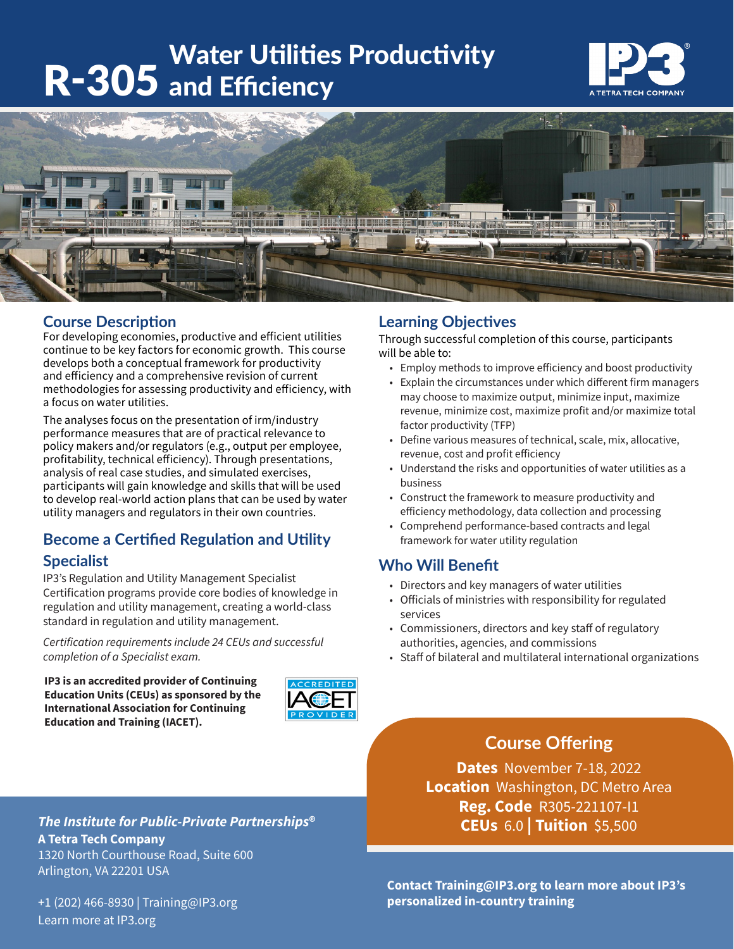# Water Utilities Productivity R-305 and Efficiency





#### **Course Description**

For developing economies, productive and efficient utilities continue to be key factors for economic growth. This course develops both a conceptual framework for productivity and efficiency and a comprehensive revision of current methodologies for assessing productivity and efficiency, with a focus on water utilities.

The analyses focus on the presentation of irm/industry performance measures that are of practical relevance to policy makers and/or regulators (e.g., output per employee, profitability, technical efficiency). Through presentations, analysis of real case studies, and simulated exercises, participants will gain knowledge and skills that will be used to develop real-world action plans that can be used by water utility managers and regulators in their own countries.

## **Become a Certified Regulation and Utility**

#### **Specialist**

IP3's Regulation and Utility Management Specialist Certification programs provide core bodies of knowledge in regulation and utility management, creating a world-class standard in regulation and utility management.

*Certification requirements include 24 CEUs and successful completion of a Specialist exam.* 

**IP3 is an accredited provider of Continuing Education Units (CEUs) as sponsored by the International Association for Continuing Education and Training (IACET).**



#### **Learning Objectives**

Through successful completion of this course, participants will be able to:

- Employ methods to improve efficiency and boost productivity
- Explain the circumstances under which different firm managers may choose to maximize output, minimize input, maximize revenue, minimize cost, maximize profit and/or maximize total factor productivity (TFP)
- Define various measures of technical, scale, mix, allocative, revenue, cost and profit efficiency
- Understand the risks and opportunities of water utilities as a business
- Construct the framework to measure productivity and efficiency methodology, data collection and processing
- Comprehend performance-based contracts and legal framework for water utility regulation

#### **Who Will Benefit**

- Directors and key managers of water utilities
- Officials of ministries with responsibility for regulated services
- Commissioners, directors and key staff of regulatory authorities, agencies, and commissions
- Staff of bilateral and multilateral international organizations

### **Course Offering**

**Dates** November 7-18, 2022 **Location** Washington, DC Metro Area **Reg. Code** R305-221107-I1 **CEUs** 6.0 **| Tuition** \$5,500

*The Institute for Public-Private Partnerships***® A Tetra Tech Company** 1320 North Courthouse Road, Suite 600 Arlington, VA 22201 USA

+1 (202) 466-8930 | Training@IP3.org Learn more at IP3.org

**Contact Training@IP3.org to learn more about IP3's personalized in-country training**